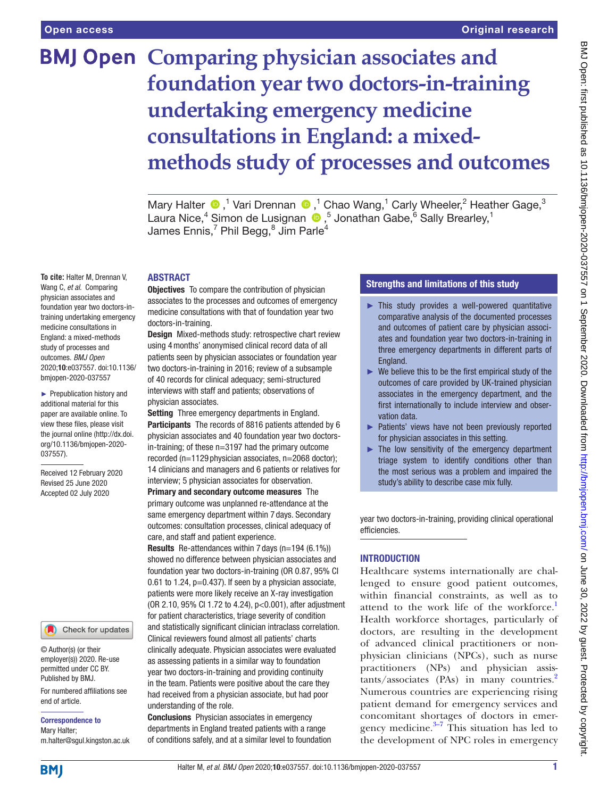**To cite:** Halter M, Drennan V, Wang C, *et al*. Comparing physician associates and foundation year two doctors-intraining undertaking emergency medicine consultations in England: a mixed-methods study of processes and outcomes. *BMJ Open* 2020;10:e037557. doi:10.1136/ bmjopen-2020-037557 ► Prepublication history and additional material for this paper are available online. To view these files, please visit the journal online (http://dx.doi. org/10.1136/bmjopen-2020-

# **BMJ Open Comparing physician associates and foundation year two doctors-in-training undertaking emergency medicine consultations in England: a mixedmethods study of processes and outcomes**

MaryHalter  $\bigcirc$ ,<sup>1</sup> Vari Drennan  $\bigcirc$ ,<sup>1</sup> Chao Wang,<sup>1</sup> Carly Wheeler,<sup>2</sup> Heather Gage,<sup>3</sup> Laura Nice,<sup>4</sup> Simon de Lusignan (D, 5 Jonathan Gabe,<sup>6</sup> Sally Brearley,<sup>1</sup> James Ennis,<sup>7</sup> Phil Begg, $^8$  Jim Parle<sup>4</sup>

#### ABSTRACT

**Objectives** To compare the contribution of physician associates to the processes and outcomes of emergency medicine consultations with that of foundation year two doctors-in-training.

Design Mixed-methods study: retrospective chart review using 4months' anonymised clinical record data of all patients seen by physician associates or foundation year two doctors-in-training in 2016; review of a subsample of 40 records for clinical adequacy; semi-structured interviews with staff and patients; observations of physician associates.

Setting Three emergency departments in England. Participants The records of 8816 patients attended by 6 physician associates and 40 foundation year two doctorsin-training; of these n=3197 had the primary outcome recorded (n=1129 physician associates, n=2068 doctor); 14 clinicians and managers and 6 patients or relatives for interview; 5 physician associates for observation.

Primary and secondary outcome measures The primary outcome was unplanned re-attendance at the same emergency department within 7 days. Secondary outcomes: consultation processes, clinical adequacy of care, and staff and patient experience.

Results Re-attendances within 7 days (n=194 (6.1%)) showed no difference between physician associates and foundation year two doctors-in-training (OR 0.87, 95% CI 0.61 to 1.24,  $p=0.437$ ). If seen by a physician associate, patients were more likely receive an X-ray investigation (OR 2.10, 95% CI 1.72 to 4.24), p<0.001), after adjustment for patient characteristics, triage severity of condition and statistically significant clinician intraclass correlation. Clinical reviewers found almost all patients' charts clinically adequate. Physician associates were evaluated as assessing patients in a similar way to foundation year two doctors-in-training and providing continuity in the team. Patients were positive about the care they had received from a physician associate, but had poor understanding of the role.

Conclusions Physician associates in emergency departments in England treated patients with a range of conditions safely, and at a similar level to foundation

# Strengths and limitations of this study

- ► This study provides a well-powered quantitative comparative analysis of the documented processes and outcomes of patient care by physician associates and foundation year two doctors-in-training in three emergency departments in different parts of England.
- $\blacktriangleright$  We believe this to be the first empirical study of the outcomes of care provided by UK-trained physician associates in the emergency department, and the first internationally to include interview and observation data.
- ► Patients' views have not been previously reported for physician associates in this setting.
- $\blacktriangleright$  The low sensitivity of the emergency department triage system to identify conditions other than the most serious was a problem and impaired the study's ability to describe case mix fully.

year two doctors-in-training, providing clinical operational efficiencies.

## INTRODUCTION

Healthcare systems internationally are challenged to ensure good patient outcomes, within financial constraints, as well as to attend to the work life of the workforce.<sup>1</sup> Health workforce shortages, particularly of doctors, are resulting in the development of advanced clinical practitioners or nonphysician clinicians (NPCs), such as nurse practitioners (NPs) and physician assis $tants/associates$  (PAs) in many countries.<sup>[2](#page-8-1)</sup> Numerous countries are experiencing rising patient demand for emergency services and concomitant shortages of doctors in emergency medicine. $3\frac{3}{7}$  This situation has led to the development of NPC roles in emergency

**BMI** 

end of article.

Correspondence to Mary Halter;

© Author(s) (or their employer(s)) 2020. Re-use permitted under CC BY. Published by BMJ.

037557).

Received 12 February 2020 Revised 25 June 2020 Accepted 02 July 2020

For numbered affiliations see

Check for updates

m.halter@sgul.kingston.ac.uk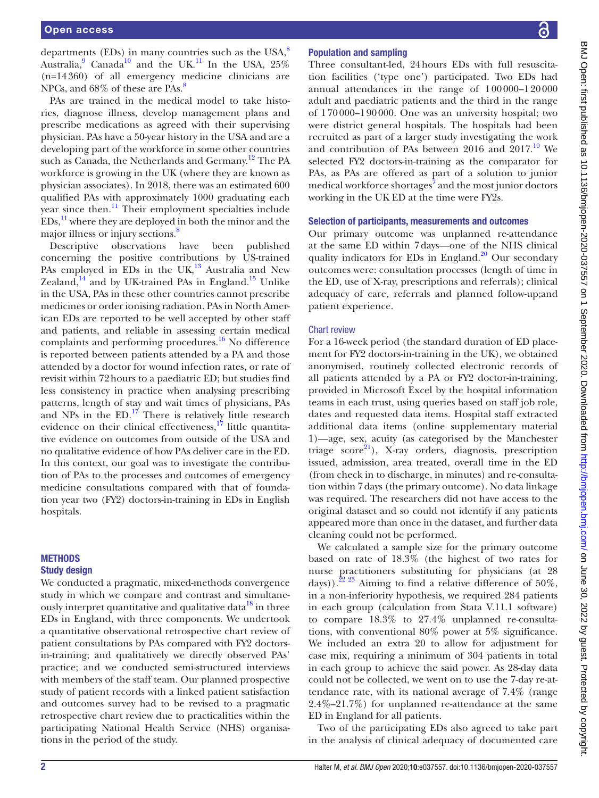departments (EDs) in many countries such as the USA, $^8$  $^8$ Australia, <sup>[9](#page-8-4)</sup> Canada<sup>[10](#page-8-5)</sup> and the UK.<sup>11</sup> In the USA, 25% (n=14360) of all emergency medicine clinicians are NPCs, and 6[8](#page-8-3)% of these are PAs.<sup>8</sup>

PAs are trained in the medical model to take histories, diagnose illness, develop management plans and prescribe medications as agreed with their supervising physician. PAs have a 50-year history in the USA and are a developing part of the workforce in some other countries such as Canada, the Netherlands and Germany.<sup>12</sup> The PA workforce is growing in the UK (where they are known as physician associates). In 2018, there was an estimated 600 qualified PAs with approximately 1000 graduating each year since then.<sup>11</sup> Their employment specialties include  $EDs<sub>1</sub><sup>11</sup>$  where they are deployed in both the minor and the major illness or injury sections.<sup>8</sup>

Descriptive observations have been published concerning the positive contributions by US-trained PAs employed in EDs in the UK,<sup>[13](#page-8-8)</sup> Australia and New Zealand, $^{14}$  and by UK-trained PAs in England.<sup>15</sup> Unlike in the USA, PAs in these other countries cannot prescribe medicines or order ionising radiation. PAs in North American EDs are reported to be well accepted by other staff and patients, and reliable in assessing certain medical complaints and performing procedures.<sup>16</sup> No difference is reported between patients attended by a PA and those attended by a doctor for wound infection rates, or rate of revisit within 72hours to a paediatric ED; but studies find less consistency in practice when analysing prescribing patterns, length of stay and wait times of physicians, PAs and NPs in the  $ED$ .<sup>17</sup> There is relatively little research evidence on their clinical effectiveness, $^{17}$  little quantitative evidence on outcomes from outside of the USA and no qualitative evidence of how PAs deliver care in the ED. In this context, our goal was to investigate the contribution of PAs to the processes and outcomes of emergency medicine consultations compared with that of foundation year two (FY2) doctors-in-training in EDs in English hospitals.

#### METHODS Study design

We conducted a pragmatic, mixed-methods convergence study in which we compare and contrast and simultaneously interpret quantitative and qualitative data<sup>18</sup> in three EDs in England, with three components. We undertook a quantitative observational retrospective chart review of patient consultations by PAs compared with FY2 doctorsin-training; and qualitatively we directly observed PAs' practice; and we conducted semi-structured interviews with members of the staff team. Our planned prospective study of patient records with a linked patient satisfaction and outcomes survey had to be revised to a pragmatic retrospective chart review due to practicalities within the participating National Health Service (NHS) organisations in the period of the study.

#### Population and sampling

Three consultant-led, 24hours EDs with full resuscitation facilities ('type one') participated. Two EDs had annual attendances in the range of 100000–120000 adult and paediatric patients and the third in the range of 170000–190000. One was an university hospital; two were district general hospitals. The hospitals had been recruited as part of a larger study investigating the work and contribution of PAs between 2016 and  $2017.^{19}$  $2017.^{19}$  $2017.^{19}$  We selected FY2 doctors-in-training as the comparator for PAs, as PAs are offered as part of a solution to junior medical workforce shortages<sup>[7](#page-8-15)</sup> and the most junior doctors working in the UK ED at the time were FY2s.

## Selection of participants, measurements and outcomes

Our primary outcome was unplanned re-attendance at the same ED within 7days—one of the NHS clinical quality indicators for EDs in England.<sup>20</sup> Our secondary outcomes were: consultation processes (length of time in the ED, use of X-ray, prescriptions and referrals); clinical adequacy of care, referrals and planned follow-up;and patient experience.

#### Chart review

For a 16-week period (the standard duration of ED placement for FY2 doctors-in-training in the UK), we obtained anonymised, routinely collected electronic records of all patients attended by a PA or FY2 doctor-in-training, provided in Microsoft Excel by the hospital information teams in each trust, using queries based on staff job role, dates and requested data items. Hospital staff extracted additional data items [\(online supplementary material](https://dx.doi.org/10.1136/bmjopen-2020-037557)  [1](https://dx.doi.org/10.1136/bmjopen-2020-037557))—age, sex, acuity (as categorised by the Manchester triage  $score^{21}$ ), X-ray orders, diagnosis, prescription issued, admission, area treated, overall time in the ED (from check in to discharge, in minutes) and re-consultation within 7days (the primary outcome). No data linkage was required. The researchers did not have access to the original dataset and so could not identify if any patients appeared more than once in the dataset, and further data cleaning could not be performed.

We calculated a sample size for the primary outcome based on rate of 18.3% (the highest of two rates for nurse practitioners substituting for physicians (at 28 days)).<sup>[22 23](#page-8-18)</sup> Aiming to find a relative difference of 50%, in a non-inferiority hypothesis, we required 284 patients in each group (calculation from Stata V.11.1 software) to compare 18.3% to 27.4% unplanned re-consultations, with conventional 80% power at 5% significance. We included an extra 20 to allow for adjustment for case mix, requiring a minimum of 304 patients in total in each group to achieve the said power. As 28-day data could not be collected, we went on to use the 7-day re-attendance rate, with its national average of 7.4% (range 2.4%–21.7%) for unplanned re-attendance at the same ED in England for all patients.

Two of the participating EDs also agreed to take part in the analysis of clinical adequacy of documented care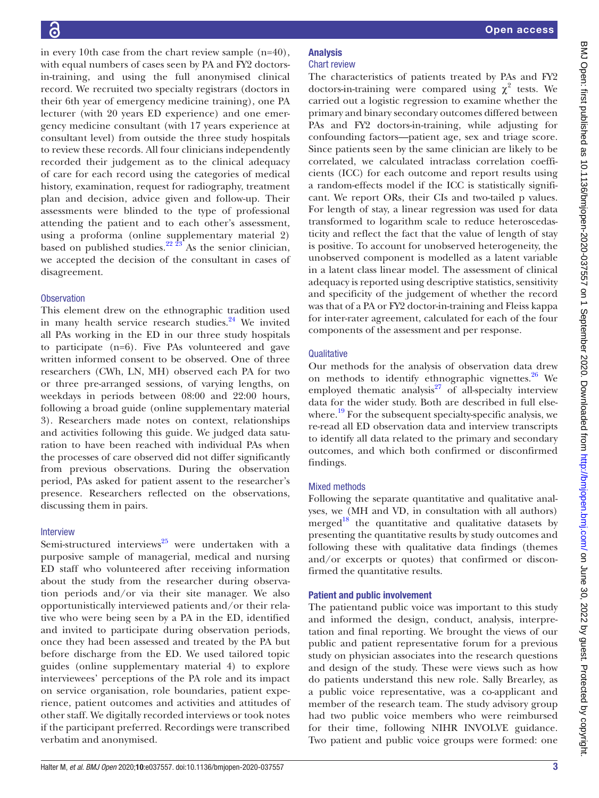in every 10th case from the chart review sample (n=40), with equal numbers of cases seen by PA and FY2 doctorsin-training, and using the full anonymised clinical record. We recruited two specialty registrars (doctors in their 6th year of emergency medicine training), one PA lecturer (with 20 years ED experience) and one emergency medicine consultant (with 17 years experience at consultant level) from outside the three study hospitals to review these records. All four clinicians independently recorded their judgement as to the clinical adequacy of care for each record using the categories of medical history, examination, request for radiography, treatment plan and decision, advice given and follow-up. Their assessments were blinded to the type of professional attending the patient and to each other's assessment, using a proforma ([online supplementary material 2\)](https://dx.doi.org/10.1136/bmjopen-2020-037557) based on published studies.<sup>[22 23](#page-8-18)</sup> As the senior clinician, we accepted the decision of the consultant in cases of disagreement.

#### **Observation**

This element drew on the ethnographic tradition used in many health service research studies. $24$  We invited all PAs working in the ED in our three study hospitals to participate (n=6). Five PAs volunteered and gave written informed consent to be observed. One of three researchers (CWh, LN, MH) observed each PA for two or three pre-arranged sessions, of varying lengths, on weekdays in periods between 08:00 and 22:00 hours, following a broad guide [\(online supplementary material](https://dx.doi.org/10.1136/bmjopen-2020-037557) [3\)](https://dx.doi.org/10.1136/bmjopen-2020-037557). Researchers made notes on context, relationships and activities following this guide. We judged data saturation to have been reached with individual PAs when the processes of care observed did not differ significantly from previous observations. During the observation period, PAs asked for patient assent to the researcher's presence. Researchers reflected on the observations, discussing them in pairs.

#### Interview

Semi-structured interviews<sup>[25](#page-8-20)</sup> were undertaken with a purposive sample of managerial, medical and nursing ED staff who volunteered after receiving information about the study from the researcher during observation periods and/or via their site manager. We also opportunistically interviewed patients and/or their relative who were being seen by a PA in the ED, identified and invited to participate during observation periods, once they had been assessed and treated by the PA but before discharge from the ED. We used tailored topic guides ([online supplementary material 4\)](https://dx.doi.org/10.1136/bmjopen-2020-037557) to explore interviewees' perceptions of the PA role and its impact on service organisation, role boundaries, patient experience, patient outcomes and activities and attitudes of other staff. We digitally recorded interviews or took notes if the participant preferred. Recordings were transcribed verbatim and anonymised.

#### Analysis Chart review

The characteristics of patients treated by PAs and FY2 doctors-in-training were compared using  $\chi^2$  tests. We carried out a logistic regression to examine whether the primary and binary secondary outcomes differed between PAs and FY2 doctors-in-training, while adjusting for confounding factors—patient age, sex and triage score. Since patients seen by the same clinician are likely to be correlated, we calculated intraclass correlation coefficients (ICC) for each outcome and report results using a random-effects model if the ICC is statistically significant. We report ORs, their CIs and two-tailed p values. For length of stay, a linear regression was used for data transformed to logarithm scale to reduce heteroscedasticity and reflect the fact that the value of length of stay is positive. To account for unobserved heterogeneity, the unobserved component is modelled as a latent variable in a latent class linear model. The assessment of clinical adequacy is reported using descriptive statistics, sensitivity and specificity of the judgement of whether the record was that of a PA or FY2 doctor-in-training and Fleiss kappa for inter-rater agreement, calculated for each of the four components of the assessment and per response.

#### **Qualitative**

Our methods for the analysis of observation data drew on methods to identify ethnographic vignettes. $26$  We employed thematic analysis $^{27}$  of all-specialty interview data for the wider study. Both are described in full elsewhere.<sup>19</sup> For the subsequent specialty-specific analysis, we re-read all ED observation data and interview transcripts to identify all data related to the primary and secondary outcomes, and which both confirmed or disconfirmed findings.

## Mixed methods

Following the separate quantitative and qualitative analyses, we (MH and VD, in consultation with all authors) merged $18$  the quantitative and qualitative datasets by presenting the quantitative results by study outcomes and following these with qualitative data findings (themes and/or excerpts or quotes) that confirmed or disconfirmed the quantitative results.

## Patient and public involvement

The patientand public voice was important to this study and informed the design, conduct, analysis, interpretation and final reporting. We brought the views of our public and patient representative forum for a previous study on physician associates into the research questions and design of the study. These were views such as how do patients understand this new role. Sally Brearley, as a public voice representative, was a co-applicant and member of the research team. The study advisory group had two public voice members who were reimbursed for their time, following NIHR INVOLVE guidance. Two patient and public voice groups were formed: one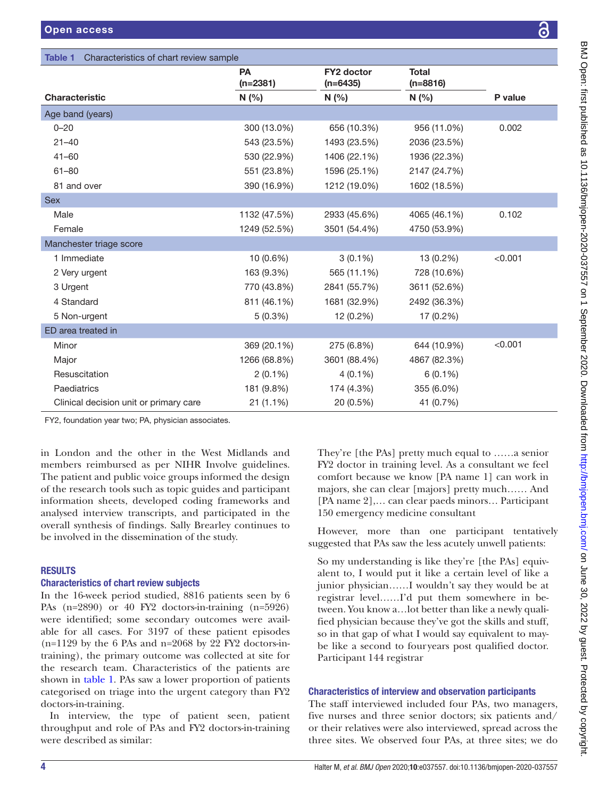Characteristics of chart review sample

|                     | َة<br>٥                                                             |
|---------------------|---------------------------------------------------------------------|
|                     |                                                                     |
|                     |                                                                     |
|                     |                                                                     |
|                     |                                                                     |
|                     |                                                                     |
|                     |                                                                     |
|                     |                                                                     |
|                     |                                                                     |
|                     |                                                                     |
|                     |                                                                     |
|                     |                                                                     |
|                     |                                                                     |
|                     |                                                                     |
|                     |                                                                     |
|                     |                                                                     |
|                     |                                                                     |
|                     |                                                                     |
|                     |                                                                     |
|                     |                                                                     |
|                     |                                                                     |
|                     |                                                                     |
|                     |                                                                     |
|                     |                                                                     |
|                     |                                                                     |
|                     |                                                                     |
|                     |                                                                     |
|                     | # product 36/07057557 or 1 September 2020-037557 or 1 September 202 |
|                     |                                                                     |
|                     |                                                                     |
|                     | <b>うり ていこう</b>                                                      |
|                     |                                                                     |
|                     |                                                                     |
|                     |                                                                     |
|                     |                                                                     |
|                     |                                                                     |
|                     | )<br>!                                                              |
|                     |                                                                     |
|                     | $\frac{3}{5}$                                                       |
|                     |                                                                     |
| ոr<br>n<br>d        |                                                                     |
|                     | Ìğ                                                                  |
|                     |                                                                     |
| ıt                  |                                                                     |
|                     |                                                                     |
|                     |                                                                     |
| vely                |                                                                     |
| $\ddot{\cdot}$      |                                                                     |
|                     |                                                                     |
| $\gamma$ -          |                                                                     |
| $\mathbf{a}$        |                                                                     |
|                     |                                                                     |
| at<br>:-<br>i-      |                                                                     |
|                     |                                                                     |
|                     | ミーリンパー                                                              |
| f                   |                                                                     |
|                     |                                                                     |
| y-<br>r.            |                                                                     |
|                     |                                                                     |
|                     |                                                                     |
|                     |                                                                     |
|                     |                                                                     |
|                     |                                                                     |
| ers                 |                                                                     |
| $\mathbf{d}_{\ell}$ |                                                                     |
| the<br>do           |                                                                     |
|                     |                                                                     |
|                     |                                                                     |
|                     |                                                                     |

<span id="page-3-0"></span>

| <u>Undiactoriotico Unidia ruege cannolu</u>         |                         |                                 |                            |         |
|-----------------------------------------------------|-------------------------|---------------------------------|----------------------------|---------|
|                                                     | <b>PA</b><br>$(n=2381)$ | <b>FY2 doctor</b><br>$(n=6435)$ | <b>Total</b><br>$(n=8816)$ |         |
| <b>Characteristic</b>                               | N(%                     | N(%                             | N(%                        | P value |
| Age band (years)                                    |                         |                                 |                            |         |
| $0 - 20$                                            | 300 (13.0%)             | 656 (10.3%)                     | 956 (11.0%)                | 0.002   |
| $21 - 40$                                           | 543 (23.5%)             | 1493 (23.5%)                    | 2036 (23.5%)               |         |
| $41 - 60$                                           | 530 (22.9%)             | 1406 (22.1%)                    | 1936 (22.3%)               |         |
| $61 - 80$                                           | 551 (23.8%)             | 1596 (25.1%)                    | 2147 (24.7%)               |         |
| 81 and over                                         | 390 (16.9%)             | 1212 (19.0%)                    | 1602 (18.5%)               |         |
| <b>Sex</b>                                          |                         |                                 |                            |         |
| Male                                                | 1132 (47.5%)            | 2933 (45.6%)                    | 4065 (46.1%)               | 0.102   |
| Female                                              | 1249 (52.5%)            | 3501 (54.4%)                    | 4750 (53.9%)               |         |
| Manchester triage score                             |                         |                                 |                            |         |
| 1 Immediate                                         | 10 (0.6%)               | $3(0.1\%)$                      | 13 (0.2%)                  | < 0.001 |
| 2 Very urgent                                       | 163 (9.3%)              | 565 (11.1%)                     | 728 (10.6%)                |         |
| 3 Urgent                                            | 770 (43.8%)             | 2841 (55.7%)                    | 3611 (52.6%)               |         |
| 4 Standard                                          | 811 (46.1%)             | 1681 (32.9%)                    | 2492 (36.3%)               |         |
| 5 Non-urgent                                        | $5(0.3\%)$              | 12 (0.2%)                       | 17 (0.2%)                  |         |
| ED area treated in                                  |                         |                                 |                            |         |
| Minor                                               | 369 (20.1%)             | 275 (6.8%)                      | 644 (10.9%)                | < 0.001 |
| Major                                               | 1266 (68.8%)            | 3601 (88.4%)                    | 4867 (82.3%)               |         |
| Resuscitation                                       | $2(0.1\%)$              | $4(0.1\%)$                      | $6(0.1\%)$                 |         |
| Paediatrics                                         | 181 (9.8%)              | 174 (4.3%)                      | 355 (6.0%)                 |         |
| Clinical decision unit or primary care              | $21(1.1\%)$             | 20 (0.5%)                       | 41 (0.7%)                  |         |
| FY2, foundation year two; PA, physician associates. |                         |                                 |                            |         |

in London and the other in the West Midlands and members reimbursed as per NIHR Involve guidelines. The patient and public voice groups informed the design of the research tools such as topic guides and participant information sheets, developed coding frameworks and analysed interview transcripts, and participated in the overall synthesis of findings. Sally Brearley continues to be involved in the dissemination of the study.

# RESULTS

## Characteristics of chart review subjects

In the 16-week period studied, 8816 patients seen by 6 PAs (n=2890) or 40 FY2 doctors-in-training (n=5926) were identified; some secondary outcomes were available for all cases. For 3197 of these patient episodes  $(n=1129$  by the 6 PAs and n=2068 by 22 FY2 doctors-intraining), the primary outcome was collected at site for the research team. Characteristics of the patients are shown in [table](#page-3-0) 1. PAs saw a lower proportion of patients categorised on triage into the urgent category than FY2 doctors-in-training.

In interview, the type of patient seen, patient throughput and role of PAs and FY2 doctors-in-training were described as similar:

They're [the PAs] pretty much equal to ......a senior FY2 doctor in training level. As a consultant we fee comfort because we know [PA name 1] can work in majors, she can clear [majors] pretty much...... An [PA name 2],... can clear paeds minors... Participan 150 emergency medicine consultant

However, more than one participant tentatively suggested that PAs saw the less acutely unwell patients:

So my understanding is like they're [the PAs] equivalent to, I would put it like a certain level of like a junior physician......I wouldn't say they would be a registrar level……I'd put them somewhere in between. You know a... lot better than like a newly qual fied physician because they've got the skills and stuf so in that gap of what I would say equivalent to maybe like a second to four years post qualified doctor Participant 144 registrar

## Characteristics of interview and observation participants

The staff interviewed included four PAs, two managers, five nurses and three senior doctors; six patients and/ or their relatives were also interviewed, spread across the three sites. We observed four PAs, at three sites; we do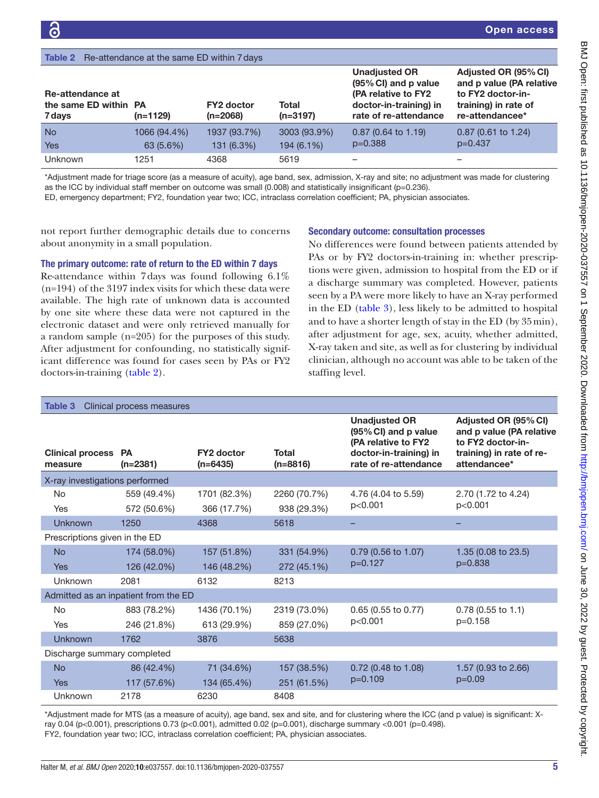<span id="page-4-0"></span>

| <b>Table 2</b> Re-attendance at the same ED within 7 days |                          |                                 |                            |                                                                                                                        |                                                                                                                  |
|-----------------------------------------------------------|--------------------------|---------------------------------|----------------------------|------------------------------------------------------------------------------------------------------------------------|------------------------------------------------------------------------------------------------------------------|
| Re-attendance at<br>the same ED within PA<br>7 days       | $(n=1129)$               | <b>FY2 doctor</b><br>$(n=2068)$ | Total<br>$(n=3197)$        | <b>Unadjusted OR</b><br>(95% CI) and p value<br>(PA relative to FY2<br>doctor-in-training) in<br>rate of re-attendance | Adjusted OR (95% CI)<br>and p value (PA relative<br>to FY2 doctor-in-<br>training) in rate of<br>re-attendancee* |
| <b>No</b><br><b>Yes</b>                                   | 1066 (94.4%)<br>63(5.6%) | 1937 (93.7%)<br>131 (6.3%)      | 3003 (93.9%)<br>194 (6.1%) | $0.87$ (0.64 to 1.19)<br>$p=0.388$                                                                                     | $0.87$ (0.61 to 1.24)<br>$p=0.437$                                                                               |
| <b>Unknown</b>                                            | 1251                     | 4368                            | 5619                       |                                                                                                                        |                                                                                                                  |

\*Adjustment made for triage score (as a measure of acuity), age band, sex, admission, X-ray and site; no adjustment was made for clustering as the ICC by individual staff member on outcome was small (0.008) and statistically insignificant (p=0.236).

ED, emergency department; FY2, foundation year two; ICC, intraclass correlation coefficient; PA, physician associates.

not report further demographic details due to concerns about anonymity in a small population.

#### The primary outcome: rate of return to the ED within 7 days

Re-attendance within 7days was found following 6.1% (n=194) of the 3197 index visits for which these data were available. The high rate of unknown data is accounted by one site where these data were not captured in the electronic dataset and were only retrieved manually for a random sample (n=205) for the purposes of this study. After adjustment for confounding, no statistically significant difference was found for cases seen by PAs or FY2 doctors-in-training [\(table](#page-4-0) 2).

#### Secondary outcome: consultation processes

No differences were found between patients attended by PAs or by FY2 doctors-in-training in: whether prescriptions were given, admission to hospital from the ED or if a discharge summary was completed. However, patients seen by a PA were more likely to have an X-ray performed in the ED [\(table](#page-4-1) 3), less likely to be admitted to hospital and to have a shorter length of stay in the ED (by 35min), after adjustment for age, sex, acuity, whether admitted, X-ray taken and site, as well as for clustering by individual clinician, although no account was able to be taken of the staffing level.

<span id="page-4-1"></span>

| Table 3                            | Clinical process measures            |                                 |                             |                                                                                                                        |                                                                                                                   |
|------------------------------------|--------------------------------------|---------------------------------|-----------------------------|------------------------------------------------------------------------------------------------------------------------|-------------------------------------------------------------------------------------------------------------------|
| <b>Clinical process</b><br>measure | <b>PA</b><br>$(n=2381)$              | <b>FY2 doctor</b><br>$(n=6435)$ | <b>Total</b><br>$(n=8816)$  | <b>Unadjusted OR</b><br>(95% CI) and p value<br>(PA relative to FY2<br>doctor-in-training) in<br>rate of re-attendance | Adjusted OR (95% CI)<br>and p value (PA relative<br>to FY2 doctor-in-<br>training) in rate of re-<br>attendancee* |
| X-ray investigations performed     |                                      |                                 |                             |                                                                                                                        |                                                                                                                   |
| No.<br>Yes                         | 559 (49.4%)<br>572 (50.6%)           | 1701 (82.3%)<br>366 (17.7%)     | 2260 (70.7%)<br>938 (29.3%) | 4.76 (4.04 to 5.59)<br>p<0.001                                                                                         | 2.70 (1.72 to 4.24)<br>p<0.001                                                                                    |
| Unknown                            | 1250                                 | 4368                            | 5618                        |                                                                                                                        |                                                                                                                   |
| Prescriptions given in the ED      |                                      |                                 |                             |                                                                                                                        |                                                                                                                   |
| <b>No</b>                          | 174 (58.0%)                          | 157 (51.8%)                     | 331 (54.9%)                 | 0.79 (0.56 to 1.07)                                                                                                    | 1.35 (0.08 to 23.5)                                                                                               |
| <b>Yes</b>                         | 126 (42.0%)                          | 146 (48.2%)                     | 272 (45.1%)                 | $p=0.127$                                                                                                              | $p=0.838$                                                                                                         |
| Unknown                            | 2081                                 | 6132                            | 8213                        |                                                                                                                        |                                                                                                                   |
|                                    | Admitted as an inpatient from the ED |                                 |                             |                                                                                                                        |                                                                                                                   |
| <b>No</b>                          | 883 (78.2%)                          | 1436 (70.1%)                    | 2319 (73.0%)                | 0.65 (0.55 to 0.77)                                                                                                    | $0.78$ (0.55 to 1.1)                                                                                              |
| <b>Yes</b>                         | 246 (21.8%)                          | 613 (29.9%)                     | 859 (27.0%)                 | p<0.001                                                                                                                | $p=0.158$                                                                                                         |
| <b>Unknown</b>                     | 1762                                 | 3876                            | 5638                        |                                                                                                                        |                                                                                                                   |
| Discharge summary completed        |                                      |                                 |                             |                                                                                                                        |                                                                                                                   |
| <b>No</b>                          | 86 (42.4%)                           | 71 (34.6%)                      | 157 (38.5%)                 | $0.72$ (0.48 to 1.08)                                                                                                  | 1.57 (0.93 to 2.66)                                                                                               |
| <b>Yes</b>                         | 117 (57.6%)                          | 134 (65.4%)                     | 251 (61.5%)                 | $p=0.109$                                                                                                              | $p=0.09$                                                                                                          |
| Unknown                            | 2178                                 | 6230                            | 8408                        |                                                                                                                        |                                                                                                                   |

\*Adjustment made for MTS (as a measure of acuity), age band, sex and site, and for clustering where the ICC (and p value) is significant: Xray 0.04 (p<0.001), prescriptions 0.73 (p<0.001), admitted 0.02 (p=0.001), discharge summary <0.001 (p=0.498). FY2, foundation year two; ICC, intraclass correlation coefficient; PA, physician associates.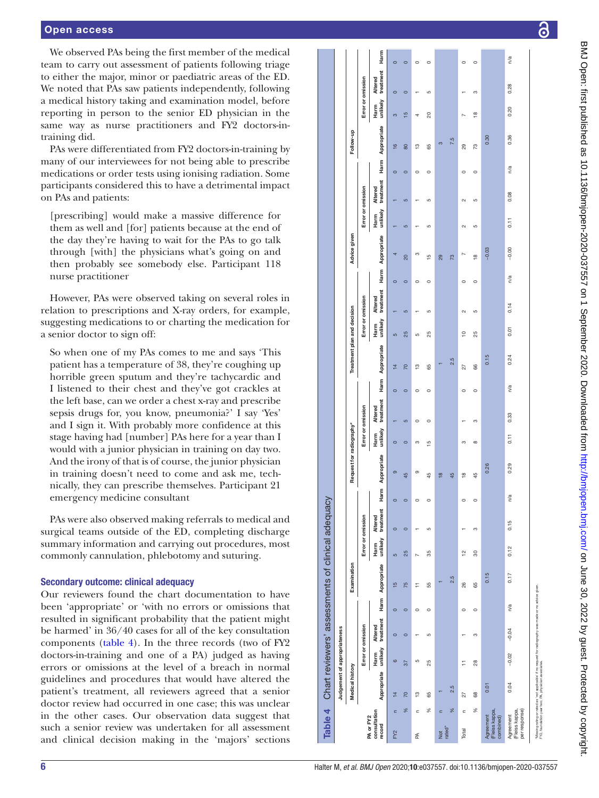#### Open access

We observed PAs being the first member of the medical team to carry out assessment of patients following triage to either the major, minor or paediatric areas of the ED. We noted that PAs saw patients independently, following a medical history taking and examination model, before reporting in person to the senior ED physician in the same way as nurse practitioners and FY2 doctors-intraining did.

PAs were differentiated from FY2 doctors-in-training by many of our interviewees for not being able to prescribe medications or order tests using ionising radiation. Some participants considered this to have a detrimental impact on PAs and patients:

[prescribing] would make a massive difference for them as well and [for] patients because at the end of the day they're having to wait for the PAs to go talk through [with] the physicians what's going on and then probably see somebody else. Participant 118 nurse practitioner

However, PAs were observed taking on several roles in relation to prescriptions and X-ray orders, for example, suggesting medications to or charting the medication for a senior doctor to sign off:

So when one of my PAs comes to me and says 'This patient has a temperature of 38, they're coughing up horrible green sputum and they're tachycardic and I listened to their chest and they've got crackles at the left base, can we order a chest x-ray and prescribe sepsis drugs for, you know, pneumonia?' I say 'Yes' and I sign it. With probably more confidence at this stage having had [number] PAs here for a year than I would with a junior physician in training on day two. And the irony of that is of course, the junior physician in training doesn't need to come and ask me, tech nically, they can prescribe themselves. Participant 21 emergency medicine consultant

PAs were also observed making referrals to medical and surgical teams outside of the ED, completing discharge summary information and carrying out procedures, most commonly cannulation, phlebotomy and suturing.

#### Secondary outcome: clinical adequacy

<span id="page-5-0"></span>Our reviewers found the chart documentation to have been 'appropriate' or 'with no errors or omissions that resulted in significant probability that the patient might be harmed' in 36/40 cases for all of the key consultation components [\(table](#page-5-0) 4). In the three records (two of FY2 doctors-in-training and one of a PA) judged as having errors or omissions at the level of a breach in normal guidelines and procedures that would have altered the patient's treatment, all reviewers agreed that a senior doctor review had occurred in one case; this was unclear in the other cases. Our observation data suggest that such a senior review was undertaken for all assessment and clinical decision making in the 'majors' sections

|                                              | Table 4 Chart reviewers' assessments of clinical adequacy                                                                                                     |                              |                      |         |                  |                  |                             |           |                          |                   |                      |         |                             |                  |                      |         |                  |                   |                             |                          |             |                          |                             |         |
|----------------------------------------------|---------------------------------------------------------------------------------------------------------------------------------------------------------------|------------------------------|----------------------|---------|------------------|------------------|-----------------------------|-----------|--------------------------|-------------------|----------------------|---------|-----------------------------|------------------|----------------------|---------|------------------|-------------------|-----------------------------|--------------------------|-------------|--------------------------|-----------------------------|---------|
|                                              |                                                                                                                                                               | Judgement of appropriateness |                      |         |                  |                  |                             |           |                          |                   |                      |         |                             |                  |                      |         |                  |                   |                             |                          |             |                          |                             |         |
|                                              | <b>Medical history</b>                                                                                                                                        |                              |                      |         | Examination      |                  |                             |           | Request for radiography* |                   |                      |         | Treatment plan and decision |                  |                      |         | Advice given     |                   |                             |                          | Follow-up   |                          |                             |         |
|                                              |                                                                                                                                                               |                              | Error or omission    |         |                  |                  | Error or omission           |           |                          | Error or omission |                      |         |                             |                  | Error or omission    |         |                  | Error or omission |                             |                          |             | Error or omission        |                             |         |
| consultation<br>PA or FY2<br>record          |                                                                                                                                                               | Appropriate unlikely<br>Harm | treatment<br>Altered |         | Harm Appropriate | unlikely<br>Harm | treatment<br><b>Altered</b> | Harm<br>Ï | Appropriate              | unlikely<br>Harm  | treatment<br>Altered | Harm    | Appropriate                 | unlikely<br>Harm | treatment<br>Altered |         | Harm Appropriate | unlikely<br>Harm  | treatment<br><b>Altered</b> | Harm                     | Appropriate | unlikely<br>Harm         | treatment<br><b>Altered</b> | Harm    |
| $\subset$<br>FY <sub>2</sub>                 | $\frac{4}{3}$                                                                                                                                                 | $\circ$                      | $\circ$              | $\circ$ | $\frac{5}{1}$    | $\overline{5}$   | $\circ$                     | $\circ$   | $\sigma$                 | $\circ$           |                      | $\circ$ | $\frac{1}{4}$               | မာ               |                      | $\circ$ | 4                |                   |                             | $\frac{6}{5}$<br>$\circ$ | S           | $\circ$                  |                             | $\circ$ |
| ℅                                            | 70                                                                                                                                                            | 57                           | $\circ$              | $\circ$ | 75               | 25               | $\circ$                     | $\circ$   | 45                       | $\circ$           | ဖာ                   | $\circ$ | 70                          | 25               | မာ                   | $\circ$ | 20               | ဖာ                | ဖာ                          | 80<br>$\circ$            |             | $\circ$<br>$\frac{5}{1}$ |                             | $\circ$ |
| $\subset$<br>Æ                               | م.                                                                                                                                                            | ပ                            | ۳                    | $\circ$ | Ξ                | N                | ٣                           | $\circ$   | ာ                        | m                 | $\circ$              | $\circ$ | $\frac{3}{2}$               | ပ                | ↽                    | $\circ$ | m                | ÷                 |                             | Ľ3<br>$\circ$            | 4           |                          |                             | $\circ$ |
| ℅                                            | 85                                                                                                                                                            | 25                           | S                    | $\circ$ | 55               | 35               | S                           | $\circ$   | 45                       | 15                | $\circ$              | $\circ$ | 65                          | 25               | ယ                    | $\circ$ | $\frac{5}{1}$    | S                 | ယ                           | 85<br>$\circ$            | ຊ           | S                        |                             | $\circ$ |
| c<br><b>Dot</b>                              |                                                                                                                                                               |                              |                      |         |                  |                  |                             |           | $\frac{8}{1}$            |                   |                      |         |                             |                  |                      |         | 29               |                   |                             |                          | m           |                          |                             |         |
| ℅<br>rated*                                  | 2.5                                                                                                                                                           |                              |                      |         | 2.5              |                  |                             |           | 45                       |                   |                      |         | 2.5                         |                  |                      |         | 73               |                   |                             |                          | 7.5         |                          |                             |         |
| $\epsilon$<br>Total                          | 27                                                                                                                                                            | F                            |                      | $\circ$ | 26               | $\tilde{c}$      |                             | $\circ$   | $\frac{8}{1}$            | ო                 |                      | $\circ$ | 27                          | °,               | $\sim$               | $\circ$ | N                | $\sim$            | 2                           | 29<br>$\circ$            |             | N                        |                             | $\circ$ |
| $\%$                                         | 68                                                                                                                                                            | 28                           | ო                    | $\circ$ | 65               | 8                | co                          | $\circ$   | 45                       | $\infty$          | ო                    | $\circ$ | 66                          | 25               | ပ                    | $\circ$ | $\frac{8}{1}$    | 5                 | S                           | 73<br>$\circ$            |             | ო<br>φ                   |                             | $\circ$ |
| (Fleiss kappa,<br>Agreement<br>combined)     | 0.01                                                                                                                                                          |                              |                      |         | 0.15             |                  |                             |           | 0.26                     |                   |                      |         | 0.15                        |                  |                      |         | $-0.03$          |                   |                             |                          | 0.30        |                          |                             |         |
| (Fleiss kappa,<br>per response)<br>Agreement | 0.04                                                                                                                                                          | $-0.02$                      | $-0.04$              | n/a     | 0.17             | 0.12             | 0.15                        | n/a       | 0.29                     | 0.11              | 0.33                 | n/a     | 0.24                        | 0.01             | 0.14                 | n/a     | $-0.00$          | 0.11              | 0.08                        | n/a                      | 0.36        | 0.20                     | 0.28                        | n/a     |
|                                              | "Missing rating or rated as 'not applicable' if no request for radiography was made or no advice given.<br>FY2. foundation war two: PA, physician associates. |                              |                      |         |                  |                  |                             |           |                          |                   |                      |         |                             |                  |                      |         |                  |                   |                             |                          |             |                          |                             |         |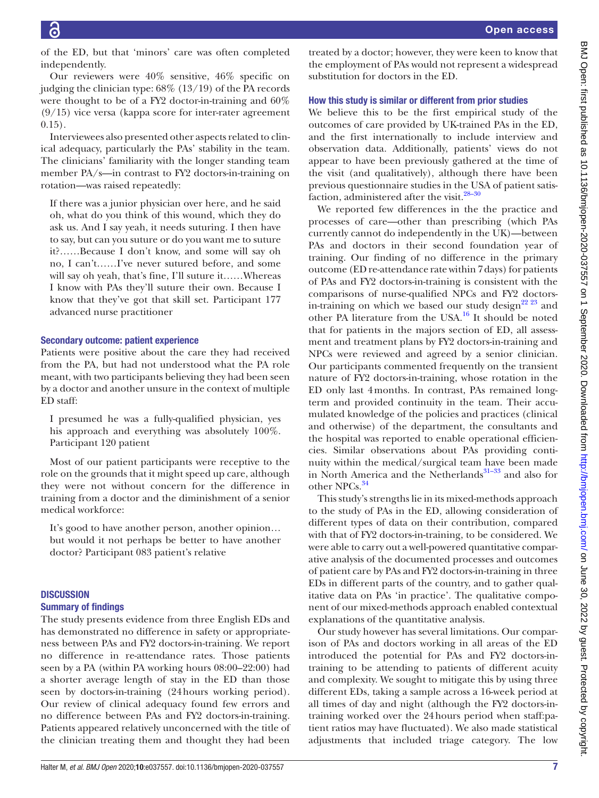of the ED, but that 'minors' care was often completed independently.

Our reviewers were 40% sensitive, 46% specific on judging the clinician type: 68% (13/19) of the PA records were thought to be of a FY2 doctor-in-training and 60% (9/15) vice versa (kappa score for inter-rater agreement 0.15).

Interviewees also presented other aspects related to clinical adequacy, particularly the PAs' stability in the team. The clinicians' familiarity with the longer standing team member PA/s—in contrast to FY2 doctors-in-training on rotation—was raised repeatedly:

If there was a junior physician over here, and he said oh, what do you think of this wound, which they do ask us. And I say yeah, it needs suturing. I then have to say, but can you suture or do you want me to suture it?……Because I don't know, and some will say oh no, I can't……I've never sutured before, and some will say oh yeah, that's fine, I'll suture it……Whereas I know with PAs they'll suture their own. Because I know that they've got that skill set. Participant 177 advanced nurse practitioner

# Secondary outcome: patient experience

Patients were positive about the care they had received from the PA, but had not understood what the PA role meant, with two participants believing they had been seen by a doctor and another unsure in the context of multiple ED staff:

I presumed he was a fully-qualified physician, yes his approach and everything was absolutely 100%. Participant 120 patient

Most of our patient participants were receptive to the role on the grounds that it might speed up care, although they were not without concern for the difference in training from a doctor and the diminishment of a senior medical workforce:

It's good to have another person, another opinion… but would it not perhaps be better to have another doctor? Participant 083 patient's relative

# **DISCUSSION**

## Summary of findings

The study presents evidence from three English EDs and has demonstrated no difference in safety or appropriateness between PAs and FY2 doctors-in-training. We report no difference in re-attendance rates. Those patients seen by a PA (within PA working hours 08:00–22:00) had a shorter average length of stay in the ED than those seen by doctors-in-training (24hours working period). Our review of clinical adequacy found few errors and no difference between PAs and FY2 doctors-in-training. Patients appeared relatively unconcerned with the title of the clinician treating them and thought they had been

treated by a doctor; however, they were keen to know that the employment of PAs would not represent a widespread substitution for doctors in the ED.

# How this study is similar or different from prior studies

We believe this to be the first empirical study of the outcomes of care provided by UK-trained PAs in the ED, and the first internationally to include interview and observation data. Additionally, patients' views do not appear to have been previously gathered at the time of the visit (and qualitatively), although there have been previous questionnaire studies in the USA of patient satisfaction, administered after the visit.<sup>28-30</sup>

We reported few differences in the the practice and processes of care—other than prescribing (which PAs currently cannot do independently in the UK)—between PAs and doctors in their second foundation year of training. Our finding of no difference in the primary outcome (ED re-attendance rate within 7days) for patients of PAs and FY2 doctors-in-training is consistent with the comparisons of nurse-qualified NPCs and FY2 doctorsin-training on which we based our study design<sup>22 23</sup> and other PA literature from the USA[.16](#page-8-11) It should be noted that for patients in the majors section of ED, all assessment and treatment plans by FY2 doctors-in-training and NPCs were reviewed and agreed by a senior clinician. Our participants commented frequently on the transient nature of FY2 doctors-in-training, whose rotation in the ED only last 4months. In contrast, PAs remained longterm and provided continuity in the team. Their accumulated knowledge of the policies and practices (clinical and otherwise) of the department, the consultants and the hospital was reported to enable operational efficiencies. Similar observations about PAs providing continuity within the medical/surgical team have been made in North America and the Netherlands<sup>31-33</sup> and also for other NPCs.<sup>[34](#page-8-25)</sup>

This study's strengths lie in its mixed-methods approach to the study of PAs in the ED, allowing consideration of different types of data on their contribution, compared with that of FY2 doctors-in-training, to be considered. We were able to carry out a well-powered quantitative comparative analysis of the documented processes and outcomes of patient care by PAs and FY2 doctors-in-training in three EDs in different parts of the country, and to gather qualitative data on PAs 'in practice'. The qualitative component of our mixed-methods approach enabled contextual explanations of the quantitative analysis.

Our study however has several limitations. Our comparison of PAs and doctors working in all areas of the ED introduced the potential for PAs and FY2 doctors-intraining to be attending to patients of different acuity and complexity. We sought to mitigate this by using three different EDs, taking a sample across a 16-week period at all times of day and night (although the FY2 doctors-intraining worked over the 24hours period when staff:patient ratios may have fluctuated). We also made statistical adjustments that included triage category. The low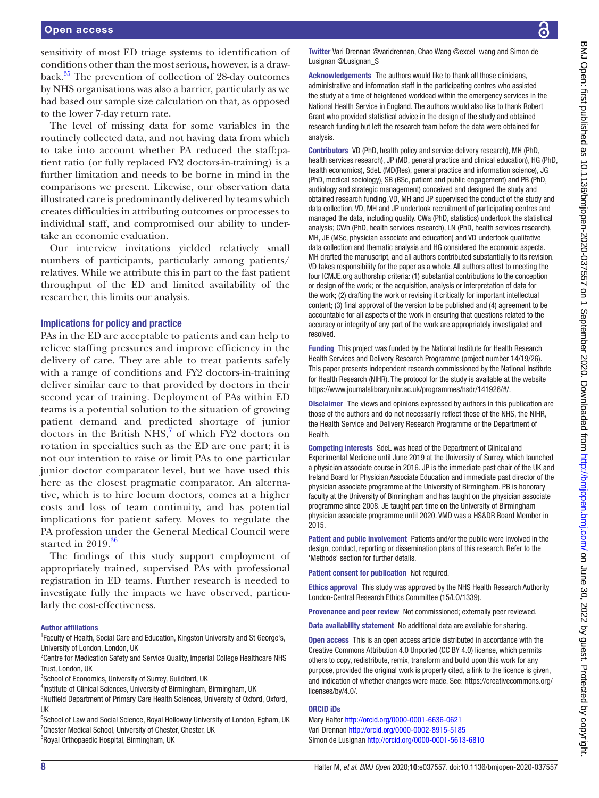sensitivity of most ED triage systems to identification of conditions other than the most serious, however, is a drawback[.35](#page-8-26) The prevention of collection of 28-day outcomes by NHS organisations was also a barrier, particularly as we had based our sample size calculation on that, as opposed to the lower 7-day return rate.

The level of missing data for some variables in the routinely collected data, and not having data from which to take into account whether PA reduced the staff:patient ratio (or fully replaced FY2 doctors-in-training) is a further limitation and needs to be borne in mind in the comparisons we present. Likewise, our observation data illustrated care is predominantly delivered by teams which creates difficulties in attributing outcomes or processes to individual staff, and compromised our ability to undertake an economic evaluation.

Our interview invitations yielded relatively small numbers of participants, particularly among patients/ relatives. While we attribute this in part to the fast patient throughput of the ED and limited availability of the researcher, this limits our analysis.

#### Implications for policy and practice

PAs in the ED are acceptable to patients and can help to relieve staffing pressures and improve efficiency in the delivery of care. They are able to treat patients safely with a range of conditions and FY2 doctors-in-training deliver similar care to that provided by doctors in their second year of training. Deployment of PAs within ED teams is a potential solution to the situation of growing patient demand and predicted shortage of junior doctors in the British  $NHS$ ,<sup>[7](#page-8-15)</sup> of which FY2 doctors on rotation in specialties such as the ED are one part; it is not our intention to raise or limit PAs to one particular junior doctor comparator level, but we have used this here as the closest pragmatic comparator. An alternative, which is to hire locum doctors, comes at a higher costs and loss of team continuity, and has potential implications for patient safety. Moves to regulate the PA profession under the General Medical Council were started in  $2019.^{36}$  $2019.^{36}$  $2019.^{36}$ 

The findings of this study support employment of appropriately trained, supervised PAs with professional registration in ED teams. Further research is needed to investigate fully the impacts we have observed, particularly the cost-effectiveness.

#### Author affiliations

<sup>1</sup> Faculty of Health, Social Care and Education, Kingston University and St George's, University of London, London, UK

<sup>2</sup> Centre for Medication Safety and Service Quality, Imperial College Healthcare NHS Trust, London, UK

<sup>3</sup>School of Economics, University of Surrey, Guildford, UK

<sup>4</sup>Institute of Clinical Sciences, University of Birmingham, Birmingham, UK

<sup>5</sup>Nuffield Department of Primary Care Health Sciences, University of Oxford, Oxford, UK

<sup>6</sup>School of Law and Social Science, Royal Holloway University of London, Egham, UK <sup>7</sup> Chester Medical School, University of Chester, Chester, UK

<sup>8</sup>Royal Orthopaedic Hospital, Birmingham, UK

Twitter Vari Drennan [@varidrennan](https://twitter.com/varidrennan), Chao Wang [@excel\\_wang](https://twitter.com/excel_wang) and Simon de Lusignan [@Lusignan\\_S](https://twitter.com/Lusignan_S)

Acknowledgements The authors would like to thank all those clinicians, administrative and information staff in the participating centres who assisted the study at a time of heightened workload within the emergency services in the National Health Service in England. The authors would also like to thank Robert Grant who provided statistical advice in the design of the study and obtained research funding but left the research team before the data were obtained for analysis.

Contributors VD (PhD, health policy and service delivery research), MH (PhD, health services research), JP (MD, general practice and clinical education), HG (PhD, health economics), SdeL (MD(Res), general practice and information science), JG (PhD, medical sociology), SB (BSc, patient and public engagement) and PB (PhD, audiology and strategic management) conceived and designed the study and obtained research funding. VD, MH and JP supervised the conduct of the study and data collection. VD, MH and JP undertook recruitment of participating centres and managed the data, including quality. CWa (PhD, statistics) undertook the statistical analysis; CWh (PhD, health services research), LN (PhD, health services research), MH, JE (MSc, physician associate and education) and VD undertook qualitative data collection and thematic analysis and HG considered the economic aspects. MH drafted the manuscript, and all authors contributed substantially to its revision. VD takes responsibility for the paper as a whole. All authors attest to meeting the four ICMJE.org authorship criteria: (1) substantial contributions to the conception or design of the work; or the acquisition, analysis or interpretation of data for the work; (2) drafting the work or revising it critically for important intellectual content; (3) final approval of the version to be published and (4) agreement to be accountable for all aspects of the work in ensuring that questions related to the accuracy or integrity of any part of the work are appropriately investigated and resolved.

Funding This project was funded by the National Institute for Health Research Health Services and Delivery Research Programme (project number 14/19/26). This paper presents independent research commissioned by the National Institute for Health Research (NIHR). The protocol for the study is available at the website <https://www.journalslibrary.nihr.ac.uk/programmes/hsdr/141926/#/>.

Disclaimer The views and opinions expressed by authors in this publication are those of the authors and do not necessarily reflect those of the NHS, the NIHR, the Health Service and Delivery Research Programme or the Department of Health.

Competing interests SdeL was head of the Department of Clinical and Experimental Medicine until June 2019 at the University of Surrey, which launched a physician associate course in 2016. JP is the immediate past chair of the UK and Ireland Board for Physician Associate Education and immediate past director of the physician associate programme at the University of Birmingham. PB is honorary faculty at the University of Birmingham and has taught on the physician associate programme since 2008. JE taught part time on the University of Birmingham physician associate programme until 2020. VMD was a HS&DR Board Member in 2015.

Patient and public involvement Patients and/or the public were involved in the design, conduct, reporting or dissemination plans of this research. Refer to the 'Methods' section for further details.

Patient consent for publication Not required.

Ethics approval This study was approved by the NHS Health Research Authority London-Central Research Ethics Committee (15/LO/1339).

Provenance and peer review Not commissioned; externally peer reviewed.

Data availability statement No additional data are available for sharing.

Open access This is an open access article distributed in accordance with the Creative Commons Attribution 4.0 Unported (CC BY 4.0) license, which permits others to copy, redistribute, remix, transform and build upon this work for any purpose, provided the original work is properly cited, a link to the licence is given, and indication of whether changes were made. See: [https://creativecommons.org/](https://creativecommons.org/licenses/by/4.0/) [licenses/by/4.0/](https://creativecommons.org/licenses/by/4.0/).

#### ORCID iDs

Mary Halter<http://orcid.org/0000-0001-6636-0621> Vari Drennan <http://orcid.org/0000-0002-8915-5185> Simon de Lusignan<http://orcid.org/0000-0001-5613-6810>